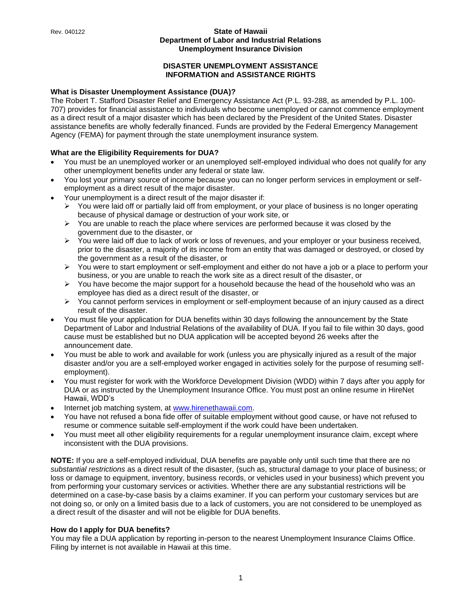## **DISASTER UNEMPLOYMENT ASSISTANCE INFORMATION and ASSISTANCE RIGHTS**

## **What is Disaster Unemployment Assistance (DUA)?**

The Robert T. Stafford Disaster Relief and Emergency Assistance Act (P.L. 93-288, as amended by P.L. 100- 707) provides for financial assistance to individuals who become unemployed or cannot commence employment as a direct result of a major disaster which has been declared by the President of the United States. Disaster assistance benefits are wholly federally financed. Funds are provided by the Federal Emergency Management Agency (FEMA) for payment through the state unemployment insurance system.

## **What are the Eligibility Requirements for DUA?**

- You must be an unemployed worker or an unemployed self-employed individual who does not qualify for any other unemployment benefits under any federal or state law.
- You lost your primary source of income because you can no longer perform services in employment or selfemployment as a direct result of the major disaster.
- Your unemployment is a direct result of the major disaster if:
	- ➢ You were laid off or partially laid off from employment, or your place of business is no longer operating because of physical damage or destruction of your work site, or
	- ➢ You are unable to reach the place where services are performed because it was closed by the government due to the disaster, or
	- ➢ You were laid off due to lack of work or loss of revenues, and your employer or your business received, prior to the disaster, a majority of its income from an entity that was damaged or destroyed, or closed by the government as a result of the disaster, or
	- ➢ You were to start employment or self-employment and either do not have a job or a place to perform your business, or you are unable to reach the work site as a direct result of the disaster, or
	- $\triangleright$  You have become the major support for a household because the head of the household who was an employee has died as a direct result of the disaster, or
	- ➢ You cannot perform services in employment or self-employment because of an injury caused as a direct result of the disaster.
- You must file your application for DUA benefits within 30 days following the announcement by the State Department of Labor and Industrial Relations of the availability of DUA. If you fail to file within 30 days, good cause must be established but no DUA application will be accepted beyond 26 weeks after the announcement date.
- You must be able to work and available for work (unless you are physically injured as a result of the major disaster and/or you are a self-employed worker engaged in activities solely for the purpose of resuming selfemployment).
- You must register for work with the Workforce Development Division (WDD) within 7 days after you apply for DUA or as instructed by the Unemployment Insurance Office. You must post an online resume in HireNet Hawaii, WDD's
- Internet job matching system, at [www.hirenethawaii.com.](http://www.hirenethawaii.com/)
- You have not refused a bona fide offer of suitable employment without good cause, or have not refused to resume or commence suitable self-employment if the work could have been undertaken.
- You must meet all other eligibility requirements for a regular unemployment insurance claim, except where inconsistent with the DUA provisions.

**NOTE:** If you are a self-employed individual, DUA benefits are payable only until such time that there are no *substantial restrictions* as a direct result of the disaster*,* (such as, structural damage to your place of business; or loss or damage to equipment, inventory, business records, or vehicles used in your business) which prevent you from performing your customary services or activities. Whether there are any substantial restrictions will be determined on a case-by-case basis by a claims examiner. If you can perform your customary services but are not doing so, or only on a limited basis due to a lack of customers, you are not considered to be unemployed as a direct result of the disaster and will not be eligible for DUA benefits.

## **How do I apply for DUA benefits?**

You may file a DUA application by reporting in-person to the nearest Unemployment Insurance Claims Office. Filing by internet is not available in Hawaii at this time.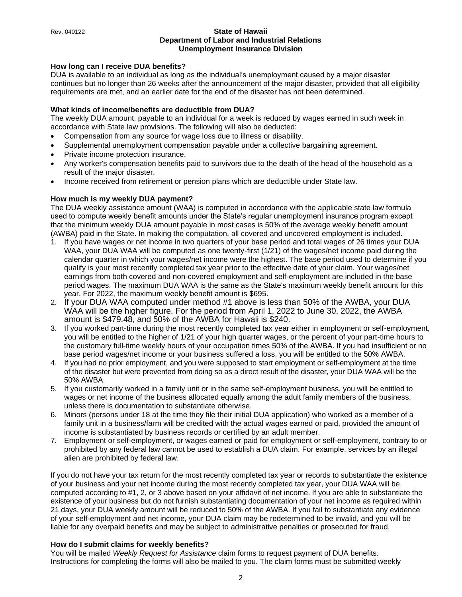## **How long can I receive DUA benefits?**

DUA is available to an individual as long as the individual's unemployment caused by a major disaster continues but no longer than 26 weeks after the announcement of the major disaster, provided that all eligibility requirements are met, and an earlier date for the end of the disaster has not been determined.

## **What kinds of income/benefits are deductible from DUA?**

The weekly DUA amount, payable to an individual for a week is reduced by wages earned in such week in accordance with State law provisions. The following will also be deducted:

- Compensation from any source for wage loss due to illness or disability.
- Supplemental unemployment compensation payable under a collective bargaining agreement.
- Private income protection insurance.
- Any worker's compensation benefits paid to survivors due to the death of the head of the household as a result of the major disaster.
- Income received from retirement or pension plans which are deductible under State law.

## **How much is my weekly DUA payment?**

The DUA weekly assistance amount (WAA) is computed in accordance with the applicable state law formula used to compute weekly benefit amounts under the State's regular unemployment insurance program except that the minimum weekly DUA amount payable in most cases is 50% of the average weekly benefit amount (AWBA) paid in the State. In making the computation, all covered and uncovered employment is included.

- 1. If you have wages or net income in two quarters of your base period and total wages of 26 times your DUA WAA, your DUA WAA will be computed as one twenty-first (1/21) of the wages/net income paid during the calendar quarter in which your wages/net income were the highest. The base period used to determine if you qualify is your most recently completed tax year prior to the effective date of your claim. Your wages/net earnings from both covered and non-covered employment and self-employment are included in the base period wages. The maximum DUA WAA is the same as the State's maximum weekly benefit amount for this year. For 2022, the maximum weekly benefit amount is \$695.
- 2. If your DUA WAA computed under method #1 above is less than 50% of the AWBA, your DUA WAA will be the higher figure. For the period from April 1, 2022 to June 30, 2022, the AWBA amount is \$479.48, and 50% of the AWBA for Hawaii is \$240.
- 3. If you worked part-time during the most recently completed tax year either in employment or self-employment, you will be entitled to the higher of 1/21 of your high quarter wages, or the percent of your part-time hours to the customary full-time weekly hours of your occupation times 50% of the AWBA. If you had insufficient or no base period wages/net income or your business suffered a loss, you will be entitled to the 50% AWBA.
- 4. If you had no prior employment, and you were supposed to start employment or self-employment at the time of the disaster but were prevented from doing so as a direct result of the disaster, your DUA WAA will be the 50% AWBA.
- 5. If you customarily worked in a family unit or in the same self-employment business, you will be entitled to wages or net income of the business allocated equally among the adult family members of the business, unless there is documentation to substantiate otherwise.
- 6. Minors (persons under 18 at the time they file their initial DUA application) who worked as a member of a family unit in a business/farm will be credited with the actual wages earned or paid, provided the amount of income is substantiated by business records or certified by an adult member.
- 7. Employment or self-employment, or wages earned or paid for employment or self-employment, contrary to or prohibited by any federal law cannot be used to establish a DUA claim. For example, services by an illegal alien are prohibited by federal law.

If you do not have your tax return for the most recently completed tax year or records to substantiate the existence of your business and your net income during the most recently completed tax year, your DUA WAA will be computed according to #1, 2, or 3 above based on your affidavit of net income. If you are able to substantiate the existence of your business but do not furnish substantiating documentation of your net income as required within 21 days, your DUA weekly amount will be reduced to 50% of the AWBA. If you fail to substantiate any evidence of your self-employment and net income, your DUA claim may be redetermined to be invalid, and you will be liable for any overpaid benefits and may be subject to administrative penalties or prosecuted for fraud.

## **How do I submit claims for weekly benefits?**

You will be mailed *Weekly Request for Assistance* claim forms to request payment of DUA benefits. Instructions for completing the forms will also be mailed to you. The claim forms must be submitted weekly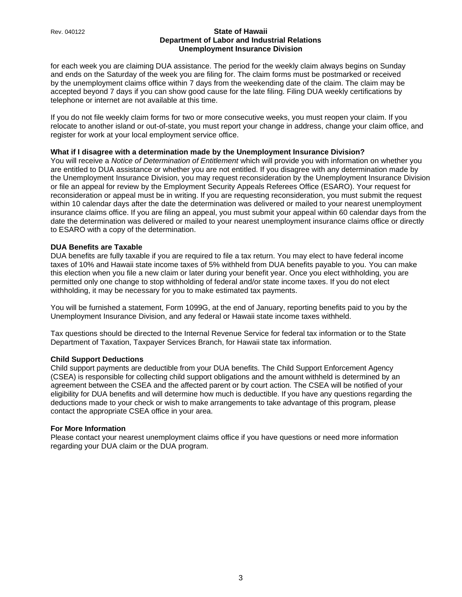for each week you are claiming DUA assistance. The period for the weekly claim always begins on Sunday and ends on the Saturday of the week you are filing for. The claim forms must be postmarked or received by the unemployment claims office within 7 days from the weekending date of the claim. The claim may be accepted beyond 7 days if you can show good cause for the late filing. Filing DUA weekly certifications by telephone or internet are not available at this time.

If you do not file weekly claim forms for two or more consecutive weeks, you must reopen your claim. If you relocate to another island or out-of-state, you must report your change in address, change your claim office, and register for work at your local employment service office.

## **What if I disagree with a determination made by the Unemployment Insurance Division?**

You will receive a *Notice of Determination of Entitlement* which will provide you with information on whether you are entitled to DUA assistance or whether you are not entitled. If you disagree with any determination made by the Unemployment Insurance Division, you may request reconsideration by the Unemployment Insurance Division or file an appeal for review by the Employment Security Appeals Referees Office (ESARO). Your request for reconsideration or appeal must be in writing. If you are requesting reconsideration, you must submit the request within 10 calendar days after the date the determination was delivered or mailed to your nearest unemployment insurance claims office. If you are filing an appeal, you must submit your appeal within 60 calendar days from the date the determination was delivered or mailed to your nearest unemployment insurance claims office or directly to ESARO with a copy of the determination.

## **DUA Benefits are Taxable**

DUA benefits are fully taxable if you are required to file a tax return. You may elect to have federal income taxes of 10% and Hawaii state income taxes of 5% withheld from DUA benefits payable to you. You can make this election when you file a new claim or later during your benefit year. Once you elect withholding, you are permitted only one change to stop withholding of federal and/or state income taxes. If you do not elect withholding, it may be necessary for you to make estimated tax payments.

You will be furnished a statement, Form 1099G, at the end of January, reporting benefits paid to you by the Unemployment Insurance Division, and any federal or Hawaii state income taxes withheld.

Tax questions should be directed to the Internal Revenue Service for federal tax information or to the State Department of Taxation, Taxpayer Services Branch, for Hawaii state tax information.

#### **Child Support Deductions**

Child support payments are deductible from your DUA benefits. The Child Support Enforcement Agency (CSEA) is responsible for collecting child support obligations and the amount withheld is determined by an agreement between the CSEA and the affected parent or by court action. The CSEA will be notified of your eligibility for DUA benefits and will determine how much is deductible. If you have any questions regarding the deductions made to your check or wish to make arrangements to take advantage of this program, please contact the appropriate CSEA office in your area.

## **For More Information**

Please contact your nearest unemployment claims office if you have questions or need more information regarding your DUA claim or the DUA program.